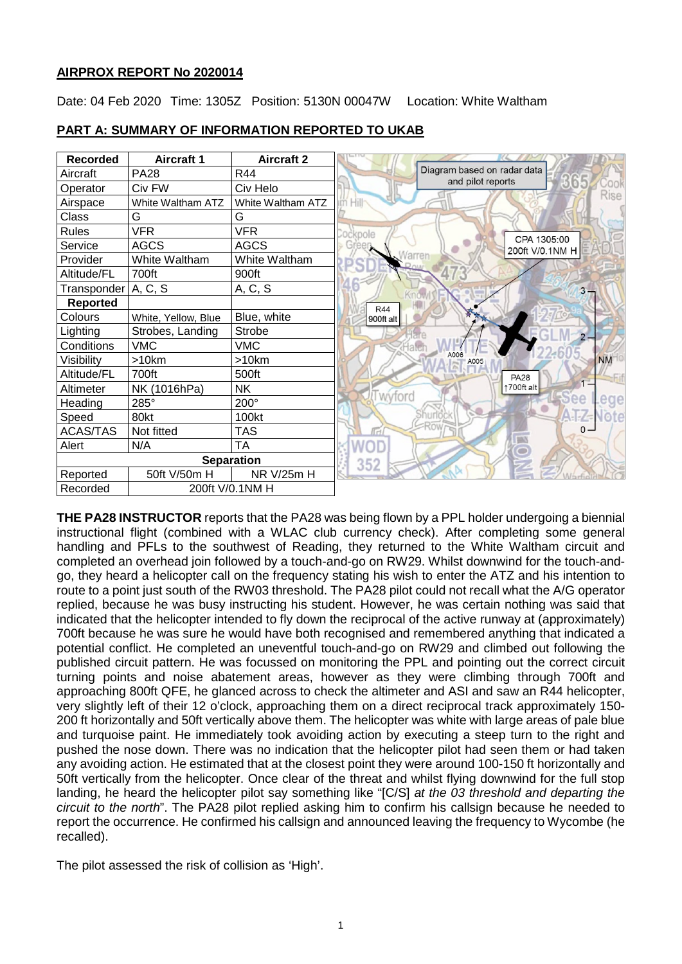# **AIRPROX REPORT No 2020014**

Date: 04 Feb 2020 Time: 1305Z Position: 5130N 00047W Location: White Waltham



# **PART A: SUMMARY OF INFORMATION REPORTED TO UKAB**

**THE PA28 INSTRUCTOR** reports that the PA28 was being flown by a PPL holder undergoing a biennial instructional flight (combined with a WLAC club currency check). After completing some general handling and PFLs to the southwest of Reading, they returned to the White Waltham circuit and completed an overhead join followed by a touch-and-go on RW29. Whilst downwind for the touch-andgo, they heard a helicopter call on the frequency stating his wish to enter the ATZ and his intention to route to a point just south of the RW03 threshold. The PA28 pilot could not recall what the A/G operator replied, because he was busy instructing his student. However, he was certain nothing was said that indicated that the helicopter intended to fly down the reciprocal of the active runway at (approximately) 700ft because he was sure he would have both recognised and remembered anything that indicated a potential conflict. He completed an uneventful touch-and-go on RW29 and climbed out following the published circuit pattern. He was focussed on monitoring the PPL and pointing out the correct circuit turning points and noise abatement areas, however as they were climbing through 700ft and approaching 800ft QFE, he glanced across to check the altimeter and ASI and saw an R44 helicopter, very slightly left of their 12 o'clock, approaching them on a direct reciprocal track approximately 150- 200 ft horizontally and 50ft vertically above them. The helicopter was white with large areas of pale blue and turquoise paint. He immediately took avoiding action by executing a steep turn to the right and pushed the nose down. There was no indication that the helicopter pilot had seen them or had taken any avoiding action. He estimated that at the closest point they were around 100-150 ft horizontally and 50ft vertically from the helicopter. Once clear of the threat and whilst flying downwind for the full stop landing, he heard the helicopter pilot say something like "[C/S] *at the 03 threshold and departing the circuit to the north*". The PA28 pilot replied asking him to confirm his callsign because he needed to report the occurrence. He confirmed his callsign and announced leaving the frequency to Wycombe (he recalled).

The pilot assessed the risk of collision as 'High'.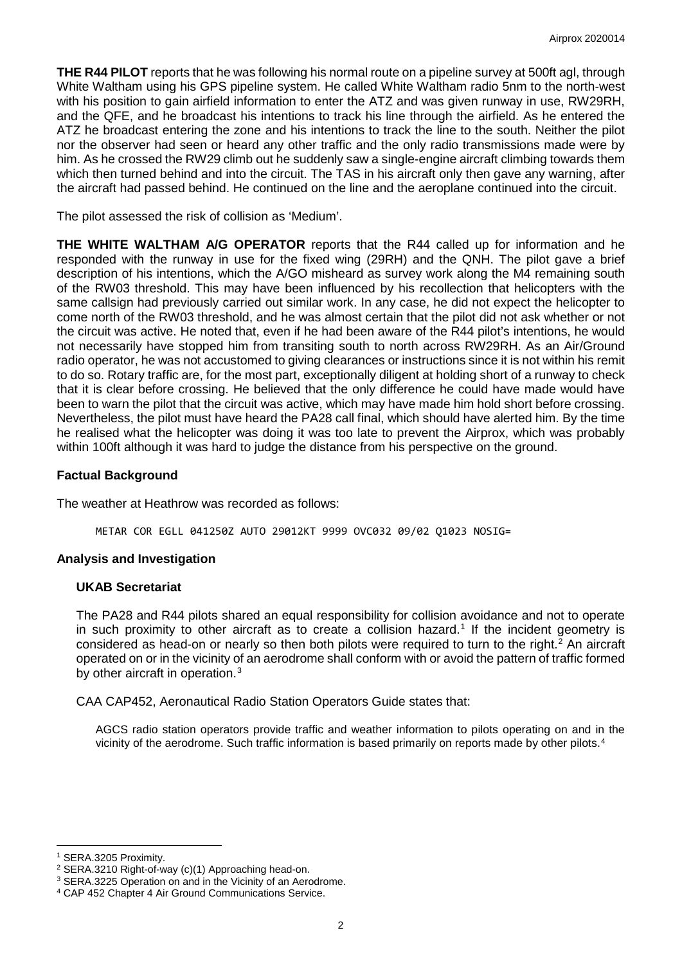**THE R44 PILOT** reports that he was following his normal route on a pipeline survey at 500ft agl, through White Waltham using his GPS pipeline system. He called White Waltham radio 5nm to the north-west with his position to gain airfield information to enter the ATZ and was given runway in use, RW29RH, and the QFE, and he broadcast his intentions to track his line through the airfield. As he entered the ATZ he broadcast entering the zone and his intentions to track the line to the south. Neither the pilot nor the observer had seen or heard any other traffic and the only radio transmissions made were by him. As he crossed the RW29 climb out he suddenly saw a single-engine aircraft climbing towards them which then turned behind and into the circuit. The TAS in his aircraft only then gave any warning, after the aircraft had passed behind. He continued on the line and the aeroplane continued into the circuit.

The pilot assessed the risk of collision as 'Medium'.

**THE WHITE WALTHAM A/G OPERATOR** reports that the R44 called up for information and he responded with the runway in use for the fixed wing (29RH) and the QNH. The pilot gave a brief description of his intentions, which the A/GO misheard as survey work along the M4 remaining south of the RW03 threshold. This may have been influenced by his recollection that helicopters with the same callsign had previously carried out similar work. In any case, he did not expect the helicopter to come north of the RW03 threshold, and he was almost certain that the pilot did not ask whether or not the circuit was active. He noted that, even if he had been aware of the R44 pilot's intentions, he would not necessarily have stopped him from transiting south to north across RW29RH. As an Air/Ground radio operator, he was not accustomed to giving clearances or instructions since it is not within his remit to do so. Rotary traffic are, for the most part, exceptionally diligent at holding short of a runway to check that it is clear before crossing. He believed that the only difference he could have made would have been to warn the pilot that the circuit was active, which may have made him hold short before crossing. Nevertheless, the pilot must have heard the PA28 call final, which should have alerted him. By the time he realised what the helicopter was doing it was too late to prevent the Airprox, which was probably within 100ft although it was hard to judge the distance from his perspective on the ground.

#### **Factual Background**

The weather at Heathrow was recorded as follows:

METAR COR EGLL 041250Z AUTO 29012KT 9999 OVC032 09/02 Q1023 NOSIG=

#### **Analysis and Investigation**

#### **UKAB Secretariat**

The PA28 and R44 pilots shared an equal responsibility for collision avoidance and not to operate in such proximity to other aircraft as to create a collision hazard. [1](#page-1-0) If the incident geometry is considered as head-on or nearly so then both pilots were required to turn to the right. [2](#page-1-1) An aircraft operated on or in the vicinity of an aerodrome shall conform with or avoid the pattern of traffic formed by other aircraft in operation.<sup>[3](#page-1-2)</sup>

CAA CAP452, Aeronautical Radio Station Operators Guide states that:

AGCS radio station operators provide traffic and weather information to pilots operating on and in the vicinity of the aerodrome. Such traffic information is based primarily on reports made by other pilots.<sup>[4](#page-1-3)</sup>

l

<span id="page-1-1"></span><span id="page-1-0"></span><sup>&</sup>lt;sup>1</sup> SERA.3205 Proximity.<br><sup>2</sup> SERA.3210 Right-of-way (c)(1) Approaching head-on.

<span id="page-1-2"></span><sup>&</sup>lt;sup>3</sup> SERA.3225 Operation on and in the Vicinity of an Aerodrome.

<span id="page-1-3"></span><sup>4</sup> CAP 452 Chapter 4 Air Ground Communications Service.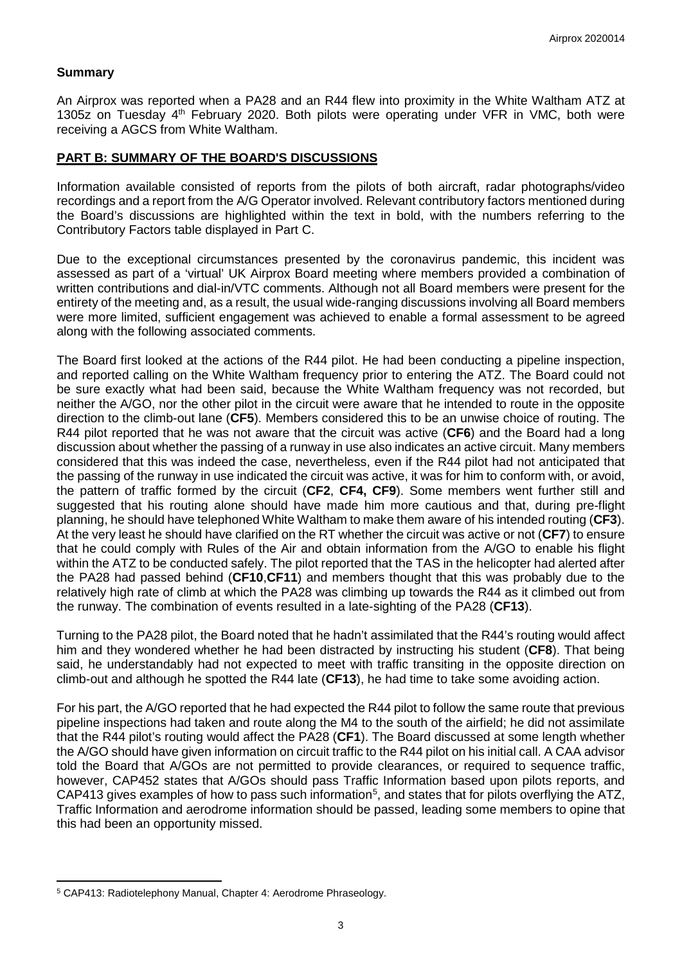# **Summary**

An Airprox was reported when a PA28 and an R44 flew into proximity in the White Waltham ATZ at 1305z on Tuesday 4th February 2020. Both pilots were operating under VFR in VMC, both were receiving a AGCS from White Waltham.

## **PART B: SUMMARY OF THE BOARD'S DISCUSSIONS**

Information available consisted of reports from the pilots of both aircraft, radar photographs/video recordings and a report from the A/G Operator involved. Relevant contributory factors mentioned during the Board's discussions are highlighted within the text in bold, with the numbers referring to the Contributory Factors table displayed in Part C.

Due to the exceptional circumstances presented by the coronavirus pandemic, this incident was assessed as part of a 'virtual' UK Airprox Board meeting where members provided a combination of written contributions and dial-in/VTC comments. Although not all Board members were present for the entirety of the meeting and, as a result, the usual wide-ranging discussions involving all Board members were more limited, sufficient engagement was achieved to enable a formal assessment to be agreed along with the following associated comments.

The Board first looked at the actions of the R44 pilot. He had been conducting a pipeline inspection, and reported calling on the White Waltham frequency prior to entering the ATZ. The Board could not be sure exactly what had been said, because the White Waltham frequency was not recorded, but neither the A/GO, nor the other pilot in the circuit were aware that he intended to route in the opposite direction to the climb-out lane (**CF5**). Members considered this to be an unwise choice of routing. The R44 pilot reported that he was not aware that the circuit was active (**CF6**) and the Board had a long discussion about whether the passing of a runway in use also indicates an active circuit. Many members considered that this was indeed the case, nevertheless, even if the R44 pilot had not anticipated that the passing of the runway in use indicated the circuit was active, it was for him to conform with, or avoid, the pattern of traffic formed by the circuit (**CF2**, **CF4, CF9**). Some members went further still and suggested that his routing alone should have made him more cautious and that, during pre-flight planning, he should have telephoned White Waltham to make them aware of his intended routing (**CF3**). At the very least he should have clarified on the RT whether the circuit was active or not (**CF7**) to ensure that he could comply with Rules of the Air and obtain information from the A/GO to enable his flight within the ATZ to be conducted safely. The pilot reported that the TAS in the helicopter had alerted after the PA28 had passed behind (**CF10**,**CF11**) and members thought that this was probably due to the relatively high rate of climb at which the PA28 was climbing up towards the R44 as it climbed out from the runway. The combination of events resulted in a late-sighting of the PA28 (**CF13**).

Turning to the PA28 pilot, the Board noted that he hadn't assimilated that the R44's routing would affect him and they wondered whether he had been distracted by instructing his student (**CF8**). That being said, he understandably had not expected to meet with traffic transiting in the opposite direction on climb-out and although he spotted the R44 late (**CF13**), he had time to take some avoiding action.

For his part, the A/GO reported that he had expected the R44 pilot to follow the same route that previous pipeline inspections had taken and route along the M4 to the south of the airfield; he did not assimilate that the R44 pilot's routing would affect the PA28 (**CF1**). The Board discussed at some length whether the A/GO should have given information on circuit traffic to the R44 pilot on his initial call. A CAA advisor told the Board that A/GOs are not permitted to provide clearances, or required to sequence traffic, however, CAP452 states that A/GOs should pass Traffic Information based upon pilots reports, and CAP413 gives examples of how to pass such information<sup>[5](#page-2-0)</sup>, and states that for pilots overflying the ATZ, Traffic Information and aerodrome information should be passed, leading some members to opine that this had been an opportunity missed.

l

<span id="page-2-0"></span><sup>5</sup> CAP413: Radiotelephony Manual, Chapter 4: Aerodrome Phraseology.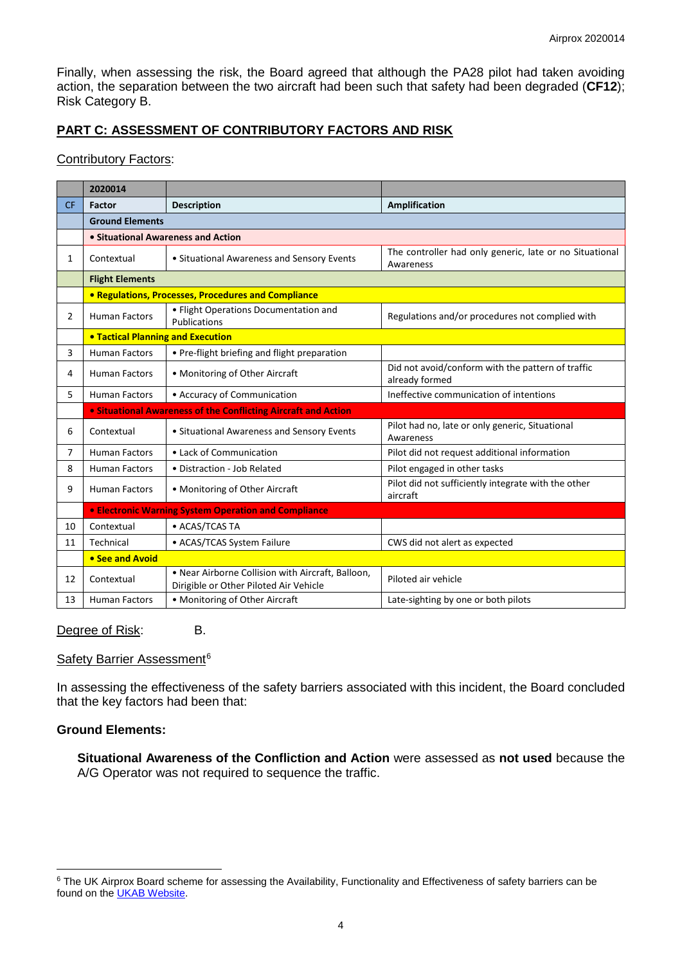Finally, when assessing the risk, the Board agreed that although the PA28 pilot had taken avoiding action, the separation between the two aircraft had been such that safety had been degraded (**CF12**); Risk Category B.

# **PART C: ASSESSMENT OF CONTRIBUTORY FACTORS AND RISK**

#### Contributory Factors:

|           | 2020014                                                        |                                                                                             |                                                                      |
|-----------|----------------------------------------------------------------|---------------------------------------------------------------------------------------------|----------------------------------------------------------------------|
| <b>CF</b> | <b>Factor</b>                                                  | <b>Description</b>                                                                          | <b>Amplification</b>                                                 |
|           | <b>Ground Elements</b>                                         |                                                                                             |                                                                      |
|           | • Situational Awareness and Action                             |                                                                                             |                                                                      |
| 1         | Contextual                                                     | • Situational Awareness and Sensory Events                                                  | The controller had only generic, late or no Situational<br>Awareness |
|           | <b>Flight Elements</b>                                         |                                                                                             |                                                                      |
|           | <b>• Regulations, Processes, Procedures and Compliance</b>     |                                                                                             |                                                                      |
| 2         | <b>Human Factors</b>                                           | · Flight Operations Documentation and<br>Publications                                       | Regulations and/or procedures not complied with                      |
|           | <b>. Tactical Planning and Execution</b>                       |                                                                                             |                                                                      |
| 3         | <b>Human Factors</b>                                           | • Pre-flight briefing and flight preparation                                                |                                                                      |
| 4         | <b>Human Factors</b>                                           | • Monitoring of Other Aircraft                                                              | Did not avoid/conform with the pattern of traffic<br>already formed  |
| 5.        | <b>Human Factors</b>                                           | • Accuracy of Communication                                                                 | Ineffective communication of intentions                              |
|           | • Situational Awareness of the Conflicting Aircraft and Action |                                                                                             |                                                                      |
| 6         | Contextual                                                     | • Situational Awareness and Sensory Events                                                  | Pilot had no, late or only generic, Situational<br>Awareness         |
| 7         | <b>Human Factors</b>                                           | • Lack of Communication                                                                     | Pilot did not request additional information                         |
| 8         | <b>Human Factors</b>                                           | • Distraction - Job Related                                                                 | Pilot engaged in other tasks                                         |
| 9         | <b>Human Factors</b>                                           | • Monitoring of Other Aircraft                                                              | Pilot did not sufficiently integrate with the other<br>aircraft      |
|           |                                                                | <b>• Electronic Warning System Operation and Compliance</b>                                 |                                                                      |
| 10        | Contextual                                                     | • ACAS/TCAS TA                                                                              |                                                                      |
| 11        | Technical                                                      | • ACAS/TCAS System Failure                                                                  | CWS did not alert as expected                                        |
|           | • See and Avoid                                                |                                                                                             |                                                                      |
| 12        | Contextual                                                     | . Near Airborne Collision with Aircraft, Balloon,<br>Dirigible or Other Piloted Air Vehicle | Piloted air vehicle                                                  |
| 13        | <b>Human Factors</b>                                           | • Monitoring of Other Aircraft                                                              | Late-sighting by one or both pilots                                  |

Degree of Risk: B.

### Safety Barrier Assessment<sup>[6](#page-3-0)</sup>

In assessing the effectiveness of the safety barriers associated with this incident, the Board concluded that the key factors had been that:

#### **Ground Elements:**

 $\overline{\phantom{a}}$ 

**Situational Awareness of the Confliction and Action** were assessed as **not used** because the A/G Operator was not required to sequence the traffic.

<span id="page-3-0"></span><sup>&</sup>lt;sup>6</sup> The UK Airprox Board scheme for assessing the Availability, Functionality and Effectiveness of safety barriers can be found on the **UKAB Website**.